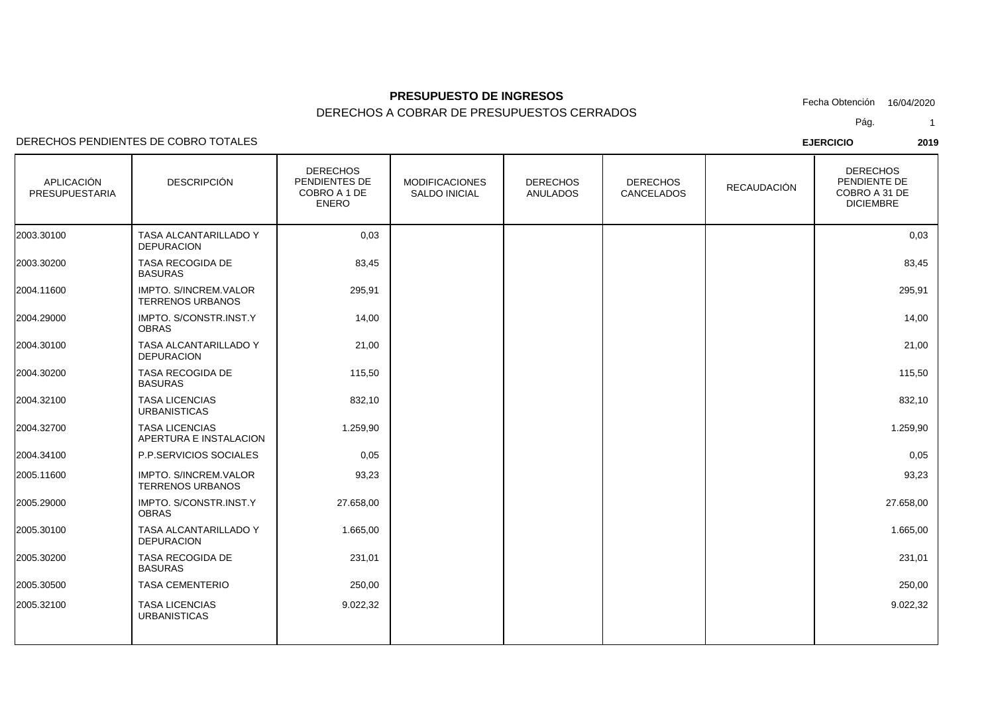### DERECHOS PENDIENTES DE COBRO TOTALES

| <b>APLICACIÓN</b><br><b>PRESUPUESTARIA</b> | <b>DESCRIPCIÓN</b>                                      | <b>DERECHOS</b><br>PENDIENTES DE<br>COBRO A 1 DE<br><b>ENERO</b> | <b>MODIFICACIONES</b><br><b>SALDO INICIAL</b> | <b>DERECHOS</b><br><b>ANULADOS</b> | <b>DERECHOS</b><br>CANCELADOS | <b>RECAUDACIÓN</b> | <b>DERECHOS</b><br>PENDIENTE DE<br>COBRO A 31 DE<br><b>DICIEMBRE</b> |
|--------------------------------------------|---------------------------------------------------------|------------------------------------------------------------------|-----------------------------------------------|------------------------------------|-------------------------------|--------------------|----------------------------------------------------------------------|
| 2003.30100                                 | <b>TASA ALCANTARILLADO Y</b><br><b>DEPURACION</b>       | 0,03                                                             |                                               |                                    |                               |                    | 0,03                                                                 |
| 2003.30200                                 | <b>TASA RECOGIDA DE</b><br><b>BASURAS</b>               | 83,45                                                            |                                               |                                    |                               |                    | 83,45                                                                |
| 2004.11600                                 | <b>IMPTO, S/INCREM.VALOR</b><br><b>TERRENOS URBANOS</b> | 295,91                                                           |                                               |                                    |                               |                    | 295,91                                                               |
| 2004.29000                                 | IMPTO. S/CONSTR.INST.Y<br><b>OBRAS</b>                  | 14,00                                                            |                                               |                                    |                               |                    | 14,00                                                                |
| 2004.30100                                 | TASA ALCANTARILLADO Y<br><b>DEPURACION</b>              | 21,00                                                            |                                               |                                    |                               |                    | 21,00                                                                |
| 2004.30200                                 | TASA RECOGIDA DE<br><b>BASURAS</b>                      | 115,50                                                           |                                               |                                    |                               |                    | 115,50                                                               |
| 2004.32100                                 | <b>TASA LICENCIAS</b><br><b>URBANISTICAS</b>            | 832,10                                                           |                                               |                                    |                               |                    | 832,10                                                               |
| 2004.32700                                 | <b>TASA LICENCIAS</b><br>APERTURA E INSTALACION         | 1.259,90                                                         |                                               |                                    |                               |                    | 1.259,90                                                             |
| 2004.34100                                 | P.P.SERVICIOS SOCIALES                                  | 0,05                                                             |                                               |                                    |                               |                    | 0,05                                                                 |
| 2005.11600                                 | IMPTO. S/INCREM.VALOR<br><b>TERRENOS URBANOS</b>        | 93,23                                                            |                                               |                                    |                               |                    | 93,23                                                                |
| 2005.29000                                 | IMPTO. S/CONSTR.INST.Y<br><b>OBRAS</b>                  | 27.658,00                                                        |                                               |                                    |                               |                    | 27.658,00                                                            |
| 2005.30100                                 | TASA ALCANTARILLADO Y<br><b>DEPURACION</b>              | 1.665,00                                                         |                                               |                                    |                               |                    | 1.665,00                                                             |
| 2005.30200                                 | TASA RECOGIDA DE<br><b>BASURAS</b>                      | 231,01                                                           |                                               |                                    |                               |                    | 231,01                                                               |
| 2005.30500                                 | <b>TASA CEMENTERIO</b>                                  | 250,00                                                           |                                               |                                    |                               |                    | 250,00                                                               |
| 2005.32100                                 | <b>TASA LICENCIAS</b><br><b>URBANISTICAS</b>            | 9.022,32                                                         |                                               |                                    |                               |                    | 9.022,32                                                             |
|                                            |                                                         |                                                                  |                                               |                                    |                               |                    |                                                                      |

Pág.Fecha Obtención 16/04/2020

1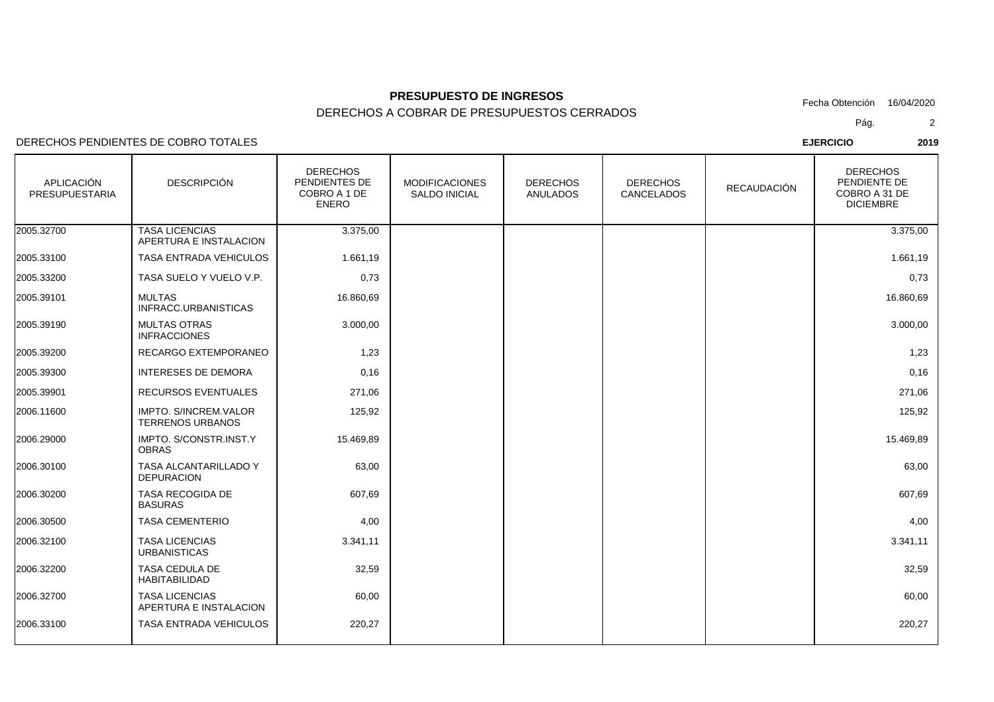DERECHOS A COBRAR DE PRESUPUESTOS CERRADOS

### DERECHOS PENDIENTES DE COBRO TOTALES

| APLICACIÓN<br><b>PRESUPUESTARIA</b> | <b>DESCRIPCIÓN</b>                                | <b>DERECHOS</b><br>PENDIENTES DE<br>COBRO A 1 DE<br><b>ENERO</b> | <b>MODIFICACIONES</b><br><b>SALDO INICIAL</b> | <b>DERECHOS</b><br><b>ANULADOS</b> | <b>DERECHOS</b><br>CANCELADOS | <b>RECAUDACIÓN</b> | <b>DERECHOS</b><br>PENDIENTE DE<br>COBRO A 31 DE<br><b>DICIEMBRE</b> |
|-------------------------------------|---------------------------------------------------|------------------------------------------------------------------|-----------------------------------------------|------------------------------------|-------------------------------|--------------------|----------------------------------------------------------------------|
| 2005.32700                          | <b>TASA LICENCIAS</b><br>APERTURA E INSTALACION   | 3.375,00                                                         |                                               |                                    |                               |                    | 3.375,00                                                             |
| 2005.33100                          | TASA ENTRADA VEHICULOS                            | 1.661,19                                                         |                                               |                                    |                               |                    | 1.661,19                                                             |
| 2005.33200                          | TASA SUELO Y VUELO V.P.                           | 0,73                                                             |                                               |                                    |                               |                    | 0,73                                                                 |
| 2005.39101                          | <b>MULTAS</b><br>INFRACC.URBANISTICAS             | 16.860,69                                                        |                                               |                                    |                               |                    | 16.860,69                                                            |
| 2005.39190                          | <b>MULTAS OTRAS</b><br><b>INFRACCIONES</b>        | 3.000,00                                                         |                                               |                                    |                               |                    | 3.000,00                                                             |
| 2005.39200                          | RECARGO EXTEMPORANEO                              | 1,23                                                             |                                               |                                    |                               |                    | 1,23                                                                 |
| 2005.39300                          | <b>INTERESES DE DEMORA</b>                        | 0,16                                                             |                                               |                                    |                               |                    | 0,16                                                                 |
| 2005.39901                          | RECURSOS EVENTUALES                               | 271,06                                                           |                                               |                                    |                               |                    | 271,06                                                               |
| 2006.11600                          | IMPTO. S/INCREM.VALOR<br><b>TERRENOS URBANOS</b>  | 125,92                                                           |                                               |                                    |                               |                    | 125,92                                                               |
| 2006.29000                          | IMPTO. S/CONSTR.INST.Y<br><b>OBRAS</b>            | 15.469,89                                                        |                                               |                                    |                               |                    | 15.469,89                                                            |
| 2006.30100                          | <b>TASA ALCANTARILLADO Y</b><br><b>DEPURACION</b> | 63,00                                                            |                                               |                                    |                               |                    | 63,00                                                                |
| 2006.30200                          | TASA RECOGIDA DE<br><b>BASURAS</b>                | 607,69                                                           |                                               |                                    |                               |                    | 607,69                                                               |
| 2006.30500                          | <b>TASA CEMENTERIO</b>                            | 4,00                                                             |                                               |                                    |                               |                    | 4,00                                                                 |
| 2006.32100                          | <b>TASA LICENCIAS</b><br><b>URBANISTICAS</b>      | 3.341,11                                                         |                                               |                                    |                               |                    | 3.341,11                                                             |
| 2006.32200                          | TASA CEDULA DE<br>HABITABILIDAD                   | 32,59                                                            |                                               |                                    |                               |                    | 32,59                                                                |
| 2006.32700                          | <b>TASA LICENCIAS</b><br>APERTURA E INSTALACION   | 60,00                                                            |                                               |                                    |                               |                    | 60,00                                                                |
| 2006.33100                          | TASA ENTRADA VEHICULOS                            | 220,27                                                           |                                               |                                    |                               |                    | 220,27                                                               |

Pág.Fecha Obtención 16/04/2020

2

**EJERCICIO <sup>2019</sup>**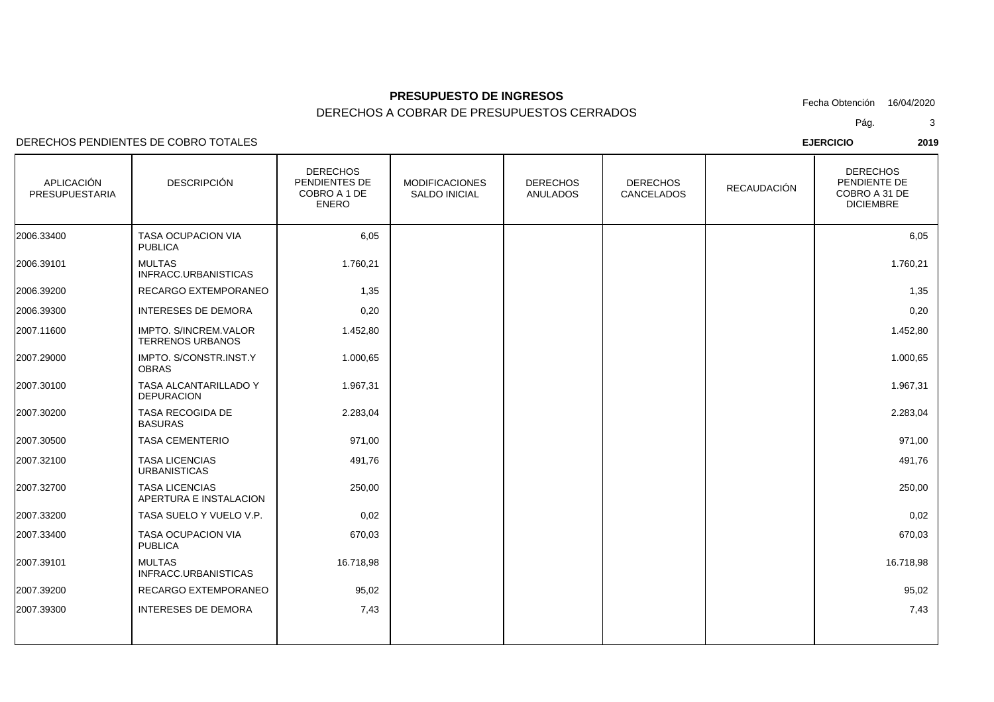### DERECHOS PENDIENTES DE COBRO TOTALES

| <b>APLICACIÓN</b><br><b>PRESUPUESTARIA</b> | <b>DESCRIPCIÓN</b>                               | <b>DERECHOS</b><br>PENDIENTES DE<br>COBRO A 1 DE<br><b>ENERO</b> | <b>MODIFICACIONES</b><br><b>SALDO INICIAL</b> | <b>DERECHOS</b><br>ANULADOS | <b>DERECHOS</b><br>CANCELADOS | <b>RECAUDACIÓN</b> | <b>DERECHOS</b><br>PENDIENTE DE<br>COBRO A 31 DE<br><b>DICIEMBRE</b> |
|--------------------------------------------|--------------------------------------------------|------------------------------------------------------------------|-----------------------------------------------|-----------------------------|-------------------------------|--------------------|----------------------------------------------------------------------|
| 2006.33400                                 | <b>TASA OCUPACION VIA</b><br><b>PUBLICA</b>      | 6,05                                                             |                                               |                             |                               |                    | 6,05                                                                 |
| 2006.39101                                 | <b>MULTAS</b><br>INFRACC.URBANISTICAS            | 1.760,21                                                         |                                               |                             |                               |                    | 1.760,21                                                             |
| 2006.39200                                 | RECARGO EXTEMPORANEO                             | 1,35                                                             |                                               |                             |                               |                    | 1,35                                                                 |
| 2006.39300                                 | <b>INTERESES DE DEMORA</b>                       | 0,20                                                             |                                               |                             |                               |                    | 0,20                                                                 |
| 2007.11600                                 | IMPTO. S/INCREM.VALOR<br><b>TERRENOS URBANOS</b> | 1.452,80                                                         |                                               |                             |                               |                    | 1.452,80                                                             |
| 2007.29000                                 | IMPTO. S/CONSTR.INST.Y<br><b>OBRAS</b>           | 1.000,65                                                         |                                               |                             |                               |                    | 1.000,65                                                             |
| 2007.30100                                 | TASA ALCANTARILLADO Y<br><b>DEPURACION</b>       | 1.967,31                                                         |                                               |                             |                               |                    | 1.967,31                                                             |
| 2007.30200                                 | TASA RECOGIDA DE<br><b>BASURAS</b>               | 2.283,04                                                         |                                               |                             |                               |                    | 2.283,04                                                             |
| 2007.30500                                 | <b>TASA CEMENTERIO</b>                           | 971,00                                                           |                                               |                             |                               |                    | 971,00                                                               |
| 2007.32100                                 | <b>TASA LICENCIAS</b><br><b>URBANISTICAS</b>     | 491,76                                                           |                                               |                             |                               |                    | 491,76                                                               |
| 2007.32700                                 | <b>TASA LICENCIAS</b><br>APERTURA E INSTALACION  | 250,00                                                           |                                               |                             |                               |                    | 250,00                                                               |
| 2007.33200                                 | TASA SUELO Y VUELO V.P.                          | 0,02                                                             |                                               |                             |                               |                    | 0,02                                                                 |
| 2007.33400                                 | TASA OCUPACION VIA<br><b>PUBLICA</b>             | 670,03                                                           |                                               |                             |                               |                    | 670,03                                                               |
| 2007.39101                                 | <b>MULTAS</b><br>INFRACC.URBANISTICAS            | 16.718,98                                                        |                                               |                             |                               |                    | 16.718,98                                                            |
| 2007.39200                                 | <b>RECARGO EXTEMPORANEO</b>                      | 95,02                                                            |                                               |                             |                               |                    | 95,02                                                                |
| 2007.39300                                 | <b>INTERESES DE DEMORA</b>                       | 7,43                                                             |                                               |                             |                               |                    | 7,43                                                                 |
|                                            |                                                  |                                                                  |                                               |                             |                               |                    |                                                                      |

Pág.Fecha Obtención 16/04/2020

3

**EJERCICIO <sup>2019</sup>**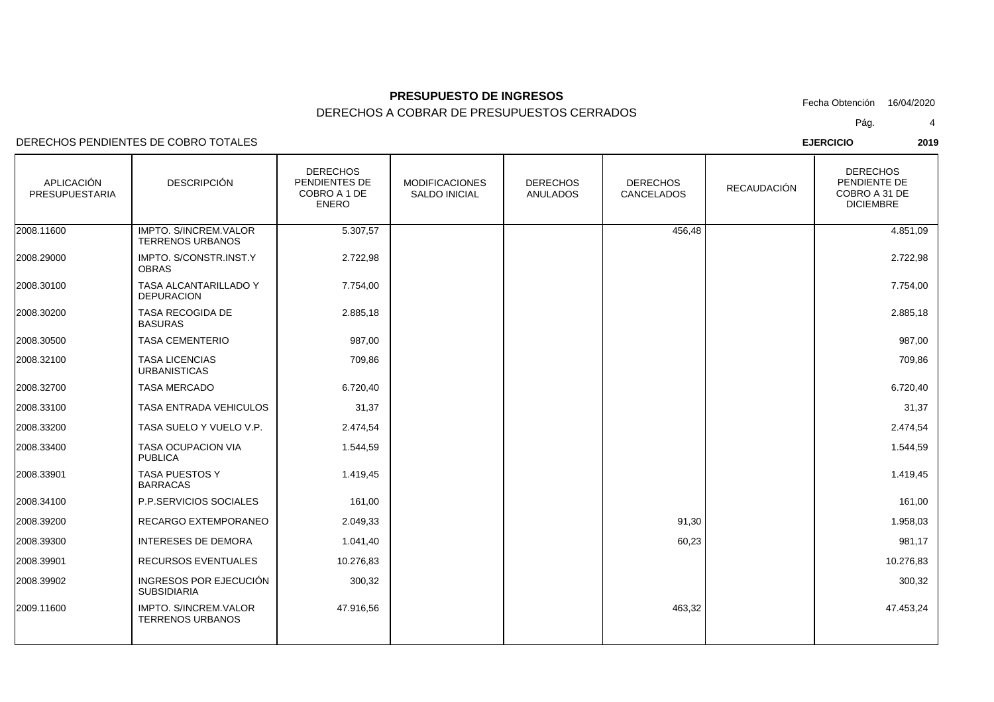DERECHOS PENDIENTES DE COBRO TOTALES

| <b>APLICACIÓN</b><br>PRESUPUESTARIA | <b>DESCRIPCIÓN</b>                                      | <b>DERECHOS</b><br>PENDIENTES DE<br>COBRO A 1 DE<br><b>ENERO</b> | <b>MODIFICACIONES</b><br><b>SALDO INICIAL</b> | <b>DERECHOS</b><br>ANULADOS | <b>DERECHOS</b><br><b>CANCELADOS</b> | <b>RECAUDACIÓN</b> | <b>DERECHOS</b><br>PENDIENTE DE<br>COBRO A 31 DE<br><b>DICIEMBRE</b> |
|-------------------------------------|---------------------------------------------------------|------------------------------------------------------------------|-----------------------------------------------|-----------------------------|--------------------------------------|--------------------|----------------------------------------------------------------------|
| 2008.11600                          | IMPTO. S/INCREM.VALOR<br><b>TERRENOS URBANOS</b>        | 5.307,57                                                         |                                               |                             | 456,48                               |                    | 4.851,09                                                             |
| 2008.29000                          | IMPTO. S/CONSTR.INST.Y<br><b>OBRAS</b>                  | 2.722,98                                                         |                                               |                             |                                      |                    | 2.722,98                                                             |
| 2008.30100                          | TASA ALCANTARILLADO Y<br><b>DEPURACION</b>              | 7.754,00                                                         |                                               |                             |                                      |                    | 7.754,00                                                             |
| 2008.30200                          | <b>TASA RECOGIDA DE</b><br><b>BASURAS</b>               | 2.885,18                                                         |                                               |                             |                                      |                    | 2.885,18                                                             |
| 2008.30500                          | <b>TASA CEMENTERIO</b>                                  | 987,00                                                           |                                               |                             |                                      |                    | 987,00                                                               |
| 2008.32100                          | <b>TASA LICENCIAS</b><br><b>URBANISTICAS</b>            | 709,86                                                           |                                               |                             |                                      |                    | 709,86                                                               |
| 2008.32700                          | <b>TASA MERCADO</b>                                     | 6.720,40                                                         |                                               |                             |                                      |                    | 6.720,40                                                             |
| 2008.33100                          | <b>TASA ENTRADA VEHICULOS</b>                           | 31,37                                                            |                                               |                             |                                      |                    | 31,37                                                                |
| 2008.33200                          | TASA SUELO Y VUELO V.P.                                 | 2.474,54                                                         |                                               |                             |                                      |                    | 2.474,54                                                             |
| 2008.33400                          | TASA OCUPACION VIA<br><b>PUBLICA</b>                    | 1.544,59                                                         |                                               |                             |                                      |                    | 1.544,59                                                             |
| 2008.33901                          | TASA PUESTOS Y<br><b>BARRACAS</b>                       | 1.419,45                                                         |                                               |                             |                                      |                    | 1.419,45                                                             |
| 2008.34100                          | P.P.SERVICIOS SOCIALES                                  | 161,00                                                           |                                               |                             |                                      |                    | 161,00                                                               |
| 2008.39200                          | RECARGO EXTEMPORANEO                                    | 2.049,33                                                         |                                               |                             | 91,30                                |                    | 1.958,03                                                             |
| 2008.39300                          | <b>INTERESES DE DEMORA</b>                              | 1.041,40                                                         |                                               |                             | 60,23                                |                    | 981,17                                                               |
| 2008.39901                          | <b>RECURSOS EVENTUALES</b>                              | 10.276,83                                                        |                                               |                             |                                      |                    | 10.276,83                                                            |
| 2008.39902                          | INGRESOS POR EJECUCIÓN<br><b>SUBSIDIARIA</b>            | 300,32                                                           |                                               |                             |                                      |                    | 300,32                                                               |
| 2009.11600                          | <b>IMPTO, S/INCREM.VALOR</b><br><b>TERRENOS URBANOS</b> | 47.916,56                                                        |                                               |                             | 463,32                               |                    | 47.453,24                                                            |
|                                     |                                                         |                                                                  |                                               |                             |                                      |                    |                                                                      |

Pág.Fecha Obtención 16/04/2020

4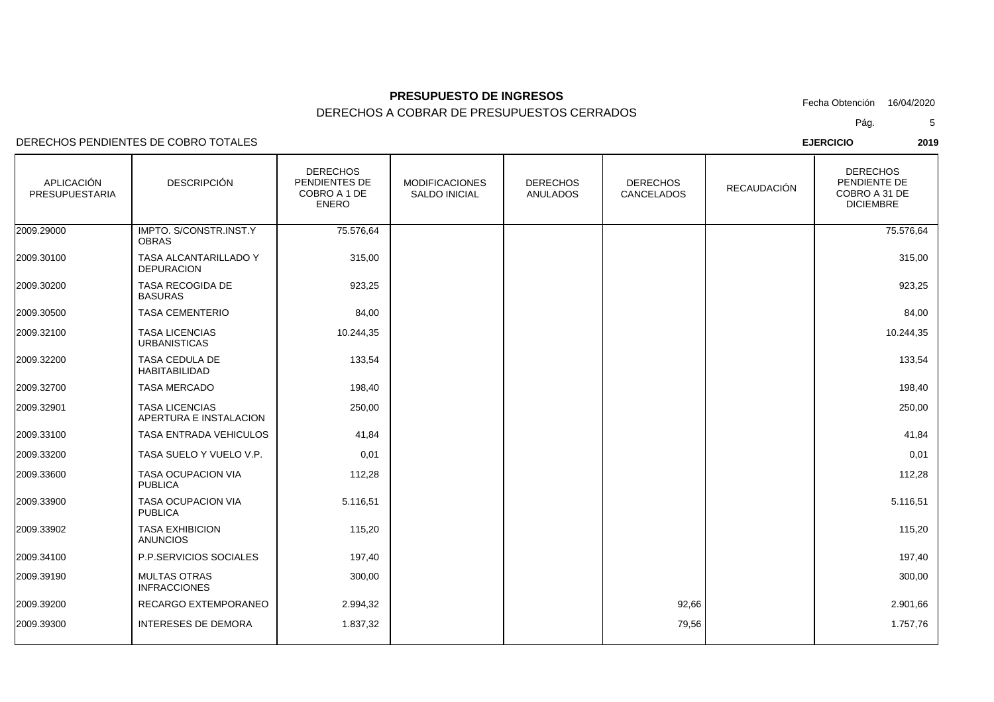DERECHOS A COBRAR DE PRESUPUESTOS CERRADOS

DERECHOS PENDIENTES DE COBRO TOTALES

| APLICACIÓN<br>PRESUPUESTARIA | <b>DESCRIPCIÓN</b>                              | <b>DERECHOS</b><br>PENDIENTES DE<br>COBRO A 1 DE<br><b>ENERO</b> | <b>MODIFICACIONES</b><br><b>SALDO INICIAL</b> | <b>DERECHOS</b><br><b>ANULADOS</b> | <b>DERECHOS</b><br>CANCELADOS | <b>RECAUDACIÓN</b> | <b>DERECHOS</b><br>PENDIENTE DE<br>COBRO A 31 DE<br><b>DICIEMBRE</b> |
|------------------------------|-------------------------------------------------|------------------------------------------------------------------|-----------------------------------------------|------------------------------------|-------------------------------|--------------------|----------------------------------------------------------------------|
| 2009.29000                   | IMPTO. S/CONSTR.INST.Y<br><b>OBRAS</b>          | 75.576,64                                                        |                                               |                                    |                               |                    | 75.576,64                                                            |
| 2009.30100                   | TASA ALCANTARILLADO Y<br><b>DEPURACION</b>      | 315,00                                                           |                                               |                                    |                               |                    | 315,00                                                               |
| 2009.30200                   | TASA RECOGIDA DE<br><b>BASURAS</b>              | 923,25                                                           |                                               |                                    |                               |                    | 923,25                                                               |
| 2009.30500                   | <b>TASA CEMENTERIO</b>                          | 84,00                                                            |                                               |                                    |                               |                    | 84,00                                                                |
| 2009.32100                   | <b>TASA LICENCIAS</b><br><b>URBANISTICAS</b>    | 10.244,35                                                        |                                               |                                    |                               |                    | 10.244,35                                                            |
| 2009.32200                   | TASA CEDULA DE<br><b>HABITABILIDAD</b>          | 133,54                                                           |                                               |                                    |                               |                    | 133,54                                                               |
| 2009.32700                   | <b>TASA MERCADO</b>                             | 198,40                                                           |                                               |                                    |                               |                    | 198,40                                                               |
| 2009.32901                   | <b>TASA LICENCIAS</b><br>APERTURA E INSTALACION | 250,00                                                           |                                               |                                    |                               |                    | 250,00                                                               |
| 2009.33100                   | TASA ENTRADA VEHICULOS                          | 41,84                                                            |                                               |                                    |                               |                    | 41,84                                                                |
| 2009.33200                   | TASA SUELO Y VUELO V.P.                         | 0,01                                                             |                                               |                                    |                               |                    | 0,01                                                                 |
| 2009.33600                   | TASA OCUPACION VIA<br><b>PUBLICA</b>            | 112,28                                                           |                                               |                                    |                               |                    | 112,28                                                               |
| 2009.33900                   | <b>TASA OCUPACION VIA</b><br><b>PUBLICA</b>     | 5.116,51                                                         |                                               |                                    |                               |                    | 5.116,51                                                             |
| 2009.33902                   | <b>TASA EXHIBICION</b><br><b>ANUNCIOS</b>       | 115,20                                                           |                                               |                                    |                               |                    | 115,20                                                               |
| 2009.34100                   | P.P.SERVICIOS SOCIALES                          | 197,40                                                           |                                               |                                    |                               |                    | 197,40                                                               |
| 2009.39190                   | <b>MULTAS OTRAS</b><br><b>INFRACCIONES</b>      | 300,00                                                           |                                               |                                    |                               |                    | 300,00                                                               |
| 2009.39200                   | RECARGO EXTEMPORANEO                            | 2.994,32                                                         |                                               |                                    | 92,66                         |                    | 2.901,66                                                             |
| 2009.39300                   | INTERESES DE DEMORA                             | 1.837,32                                                         |                                               |                                    | 79,56                         |                    | 1.757,76                                                             |
|                              |                                                 |                                                                  |                                               |                                    |                               |                    |                                                                      |

Pág.Fecha Obtención 16/04/2020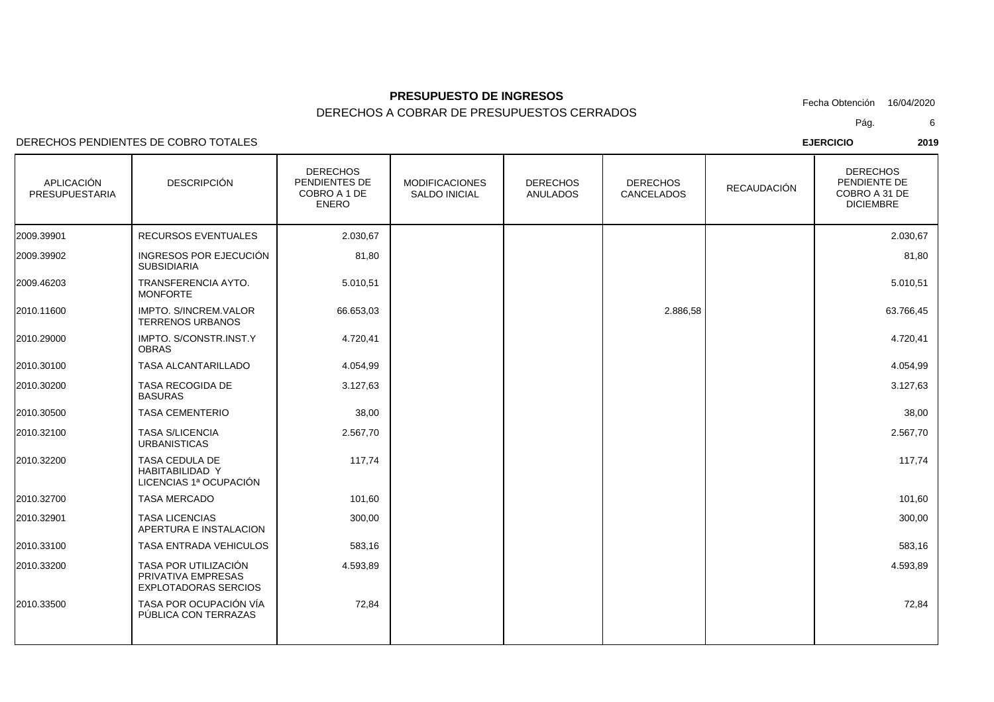DERECHOS A COBRAR DE PRESUPUESTOS CERRADOS

### DERECHOS PENDIENTES DE COBRO TOTALES

| <b>APLICACIÓN</b><br><b>PRESUPUESTARIA</b> | <b>DESCRIPCIÓN</b>                                                        | <b>DERECHOS</b><br>PENDIENTES DE<br>COBRO A 1 DE<br><b>ENERO</b> | <b>MODIFICACIONES</b><br><b>SALDO INICIAL</b> | <b>DERECHOS</b><br><b>ANULADOS</b> | <b>DERECHOS</b><br><b>CANCELADOS</b> | RECAUDACIÓN | <b>DERECHOS</b><br>PENDIENTE DE<br>COBRO A 31 DE<br><b>DICIEMBRE</b> |
|--------------------------------------------|---------------------------------------------------------------------------|------------------------------------------------------------------|-----------------------------------------------|------------------------------------|--------------------------------------|-------------|----------------------------------------------------------------------|
| 2009.39901                                 | <b>RECURSOS EVENTUALES</b>                                                | 2.030,67                                                         |                                               |                                    |                                      |             | 2.030,67                                                             |
| 2009.39902                                 | INGRESOS POR EJECUCIÓN<br><b>SUBSIDIARIA</b>                              | 81,80                                                            |                                               |                                    |                                      |             | 81,80                                                                |
| 2009.46203                                 | TRANSFERENCIA AYTO.<br><b>MONFORTE</b>                                    | 5.010,51                                                         |                                               |                                    |                                      |             | 5.010,51                                                             |
| 2010.11600                                 | <b>IMPTO, S/INCREM.VALOR</b><br><b>TERRENOS URBANOS</b>                   | 66.653,03                                                        |                                               |                                    | 2.886,58                             |             | 63.766,45                                                            |
| 2010.29000                                 | IMPTO. S/CONSTR.INST.Y<br><b>OBRAS</b>                                    | 4.720,41                                                         |                                               |                                    |                                      |             | 4.720,41                                                             |
| 2010.30100                                 | <b>TASA ALCANTARILLADO</b>                                                | 4.054,99                                                         |                                               |                                    |                                      |             | 4.054,99                                                             |
| 2010.30200                                 | <b>TASA RECOGIDA DE</b><br><b>BASURAS</b>                                 | 3.127,63                                                         |                                               |                                    |                                      |             | 3.127,63                                                             |
| 2010.30500                                 | <b>TASA CEMENTERIO</b>                                                    | 38,00                                                            |                                               |                                    |                                      |             | 38,00                                                                |
| 2010.32100                                 | <b>TASA S/LICENCIA</b><br><b>URBANISTICAS</b>                             | 2.567,70                                                         |                                               |                                    |                                      |             | 2.567,70                                                             |
| 2010.32200                                 | TASA CEDULA DE<br><b>HABITABILIDAD Y</b><br>LICENCIAS 1ª OCUPACIÓN        | 117,74                                                           |                                               |                                    |                                      |             | 117,74                                                               |
| 2010.32700                                 | <b>TASA MERCADO</b>                                                       | 101,60                                                           |                                               |                                    |                                      |             | 101,60                                                               |
| 2010.32901                                 | <b>TASA LICENCIAS</b><br>APERTURA E INSTALACION                           | 300,00                                                           |                                               |                                    |                                      |             | 300,00                                                               |
| 2010.33100                                 | TASA ENTRADA VEHICULOS                                                    | 583,16                                                           |                                               |                                    |                                      |             | 583,16                                                               |
| 2010.33200                                 | TASA POR UTILIZACIÓN<br>PRIVATIVA EMPRESAS<br><b>EXPLOTADORAS SERCIOS</b> | 4.593,89                                                         |                                               |                                    |                                      |             | 4.593,89                                                             |
| 2010.33500                                 | TASA POR OCUPACIÓN VÍA<br>PÚBLICA CON TERRAZAS                            | 72,84                                                            |                                               |                                    |                                      |             | 72,84                                                                |
|                                            |                                                                           |                                                                  |                                               |                                    |                                      |             |                                                                      |

Pág.Fecha Obtención 16/04/2020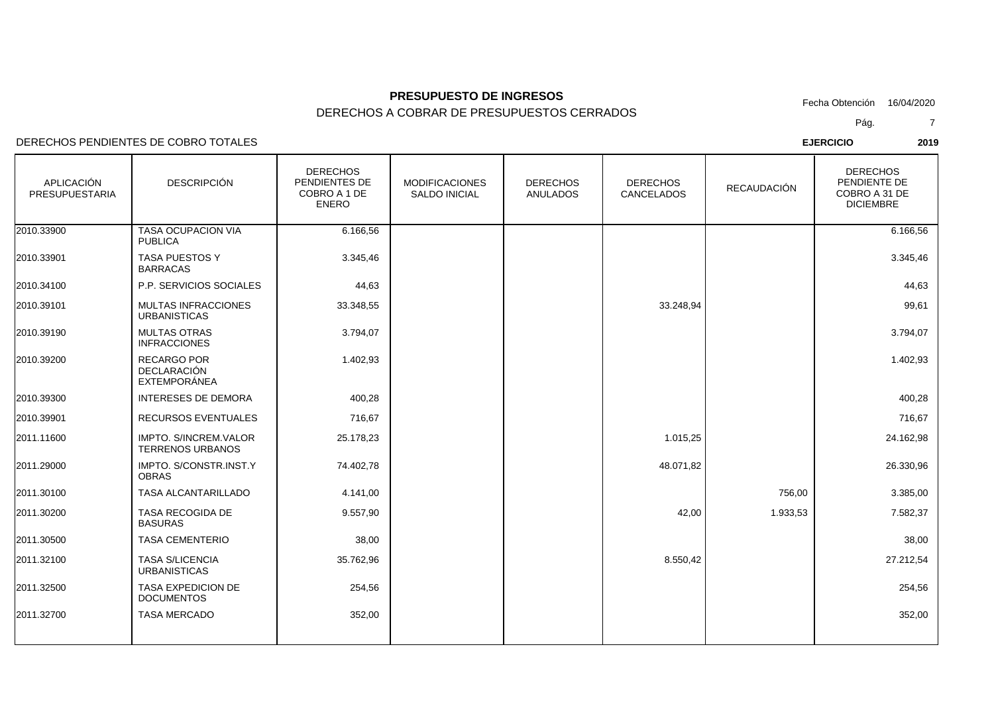DERECHOS A COBRAR DE PRESUPUESTOS CERRADOS

DERECHOS PENDIENTES DE COBRO TOTALES

| APLICACIÓN<br>PRESUPUESTARIA | <b>DESCRIPCIÓN</b>                                              | <b>DERECHOS</b><br>PENDIENTES DE<br>COBRO A 1 DE<br><b>ENERO</b> | <b>MODIFICACIONES</b><br><b>SALDO INICIAL</b> | <b>DERECHOS</b><br><b>ANULADOS</b> | <b>DERECHOS</b><br>CANCELADOS | <b>RECAUDACIÓN</b> | <b>DERECHOS</b><br>PENDIENTE DE<br>COBRO A 31 DE<br><b>DICIEMBRE</b> |
|------------------------------|-----------------------------------------------------------------|------------------------------------------------------------------|-----------------------------------------------|------------------------------------|-------------------------------|--------------------|----------------------------------------------------------------------|
| 2010.33900                   | TASA OCUPACION VIA<br><b>PUBLICA</b>                            | 6.166,56                                                         |                                               |                                    |                               |                    | 6.166,56                                                             |
| 2010.33901                   | <b>TASA PUESTOS Y</b><br><b>BARRACAS</b>                        | 3.345,46                                                         |                                               |                                    |                               |                    | 3.345,46                                                             |
| 2010.34100                   | P.P. SERVICIOS SOCIALES                                         | 44,63                                                            |                                               |                                    |                               |                    | 44,63                                                                |
| 2010.39101                   | <b>MULTAS INFRACCIONES</b><br><b>URBANISTICAS</b>               | 33.348,55                                                        |                                               |                                    | 33.248,94                     |                    | 99,61                                                                |
| 2010.39190                   | <b>MULTAS OTRAS</b><br><b>INFRACCIONES</b>                      | 3.794,07                                                         |                                               |                                    |                               |                    | 3.794,07                                                             |
| 2010.39200                   | <b>RECARGO POR</b><br><b>DECLARACIÓN</b><br><b>EXTEMPORÁNEA</b> | 1.402,93                                                         |                                               |                                    |                               |                    | 1.402,93                                                             |
| 2010.39300                   | <b>INTERESES DE DEMORA</b>                                      | 400,28                                                           |                                               |                                    |                               |                    | 400,28                                                               |
| 2010.39901                   | RECURSOS EVENTUALES                                             | 716,67                                                           |                                               |                                    |                               |                    | 716,67                                                               |
| 2011.11600                   | <b>IMPTO, S/INCREM.VALOR</b><br><b>TERRENOS URBANOS</b>         | 25.178,23                                                        |                                               |                                    | 1.015,25                      |                    | 24.162,98                                                            |
| 2011.29000                   | IMPTO. S/CONSTR.INST.Y<br><b>OBRAS</b>                          | 74.402,78                                                        |                                               |                                    | 48.071,82                     |                    | 26.330,96                                                            |
| 2011.30100                   | TASA ALCANTARILLADO                                             | 4.141,00                                                         |                                               |                                    |                               | 756,00             | 3.385,00                                                             |
| 2011.30200                   | TASA RECOGIDA DE<br><b>BASURAS</b>                              | 9.557,90                                                         |                                               |                                    | 42,00                         | 1.933,53           | 7.582,37                                                             |
| 2011.30500                   | <b>TASA CEMENTERIO</b>                                          | 38,00                                                            |                                               |                                    |                               |                    | 38,00                                                                |
| 2011.32100                   | <b>TASA S/LICENCIA</b><br><b>URBANISTICAS</b>                   | 35.762,96                                                        |                                               |                                    | 8.550,42                      |                    | 27.212,54                                                            |
| 2011.32500                   | <b>TASA EXPEDICION DE</b><br><b>DOCUMENTOS</b>                  | 254,56                                                           |                                               |                                    |                               |                    | 254,56                                                               |
| 2011.32700                   | <b>TASA MERCADO</b>                                             | 352,00                                                           |                                               |                                    |                               |                    | 352,00                                                               |
|                              |                                                                 |                                                                  |                                               |                                    |                               |                    |                                                                      |

Pág.7

**EJERCICIO <sup>2019</sup>**

Fecha Obtención 16/04/2020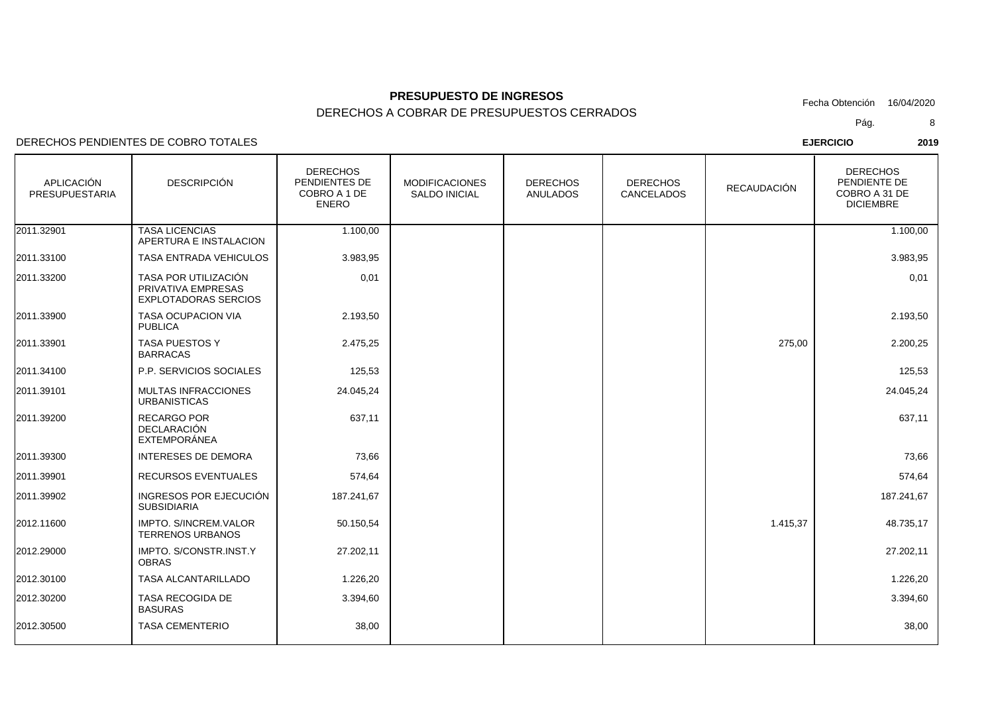DERECHOS A COBRAR DE PRESUPUESTOS CERRADOS

DERECHOS PENDIENTES DE COBRO TOTALES

| APLICACIÓN<br><b>PRESUPUESTARIA</b> | <b>DESCRIPCIÓN</b>                                                        | <b>DERECHOS</b><br>PENDIENTES DE<br>COBRO A 1 DE<br><b>ENERO</b> | <b>MODIFICACIONES</b><br><b>SALDO INICIAL</b> | <b>DERECHOS</b><br><b>ANULADOS</b> | <b>DERECHOS</b><br>CANCELADOS | <b>RECAUDACIÓN</b> | <b>DERECHOS</b><br>PENDIENTE DE<br>COBRO A 31 DE<br><b>DICIEMBRE</b> |
|-------------------------------------|---------------------------------------------------------------------------|------------------------------------------------------------------|-----------------------------------------------|------------------------------------|-------------------------------|--------------------|----------------------------------------------------------------------|
| 2011.32901                          | <b>TASA LICENCIAS</b><br>APERTURA E INSTALACION                           | 1.100,00                                                         |                                               |                                    |                               |                    | 1.100,00                                                             |
| 2011.33100                          | TASA ENTRADA VEHICULOS                                                    | 3.983,95                                                         |                                               |                                    |                               |                    | 3.983,95                                                             |
| 2011.33200                          | TASA POR UTILIZACIÓN<br>PRIVATIVA EMPRESAS<br><b>EXPLOTADORAS SERCIOS</b> | 0,01                                                             |                                               |                                    |                               |                    | 0,01                                                                 |
| 2011.33900                          | <b>TASA OCUPACION VIA</b><br><b>PUBLICA</b>                               | 2.193,50                                                         |                                               |                                    |                               |                    | 2.193,50                                                             |
| 2011.33901                          | TASA PUESTOS Y<br><b>BARRACAS</b>                                         | 2.475,25                                                         |                                               |                                    |                               | 275,00             | 2.200,25                                                             |
| 2011.34100                          | P.P. SERVICIOS SOCIALES                                                   | 125,53                                                           |                                               |                                    |                               |                    | 125,53                                                               |
| 2011.39101                          | <b>MULTAS INFRACCIONES</b><br><b>URBANISTICAS</b>                         | 24.045,24                                                        |                                               |                                    |                               |                    | 24.045,24                                                            |
| 2011.39200                          | <b>RECARGO POR</b><br><b>DECLARACIÓN</b><br>EXTEMPORÁNEA                  | 637,11                                                           |                                               |                                    |                               |                    | 637,11                                                               |
| 2011.39300                          | <b>INTERESES DE DEMORA</b>                                                | 73,66                                                            |                                               |                                    |                               |                    | 73,66                                                                |
| 2011.39901                          | RECURSOS EVENTUALES                                                       | 574,64                                                           |                                               |                                    |                               |                    | 574,64                                                               |
| 2011.39902                          | INGRESOS POR EJECUCIÓN<br><b>SUBSIDIARIA</b>                              | 187.241,67                                                       |                                               |                                    |                               |                    | 187.241,67                                                           |
| 2012.11600                          | <b>IMPTO, S/INCREM.VALOR</b><br><b>TERRENOS URBANOS</b>                   | 50.150,54                                                        |                                               |                                    |                               | 1.415,37           | 48.735,17                                                            |
| 2012.29000                          | IMPTO. S/CONSTR.INST.Y<br><b>OBRAS</b>                                    | 27.202,11                                                        |                                               |                                    |                               |                    | 27.202,11                                                            |
| 2012.30100                          | TASA ALCANTARILLADO                                                       | 1.226,20                                                         |                                               |                                    |                               |                    | 1.226,20                                                             |
| 2012.30200                          | TASA RECOGIDA DE<br><b>BASURAS</b>                                        | 3.394,60                                                         |                                               |                                    |                               |                    | 3.394,60                                                             |
| 2012.30500                          | <b>TASA CEMENTERIO</b>                                                    | 38,00                                                            |                                               |                                    |                               |                    | 38,00                                                                |

Fecha Obtención 16/04/2020

Pág.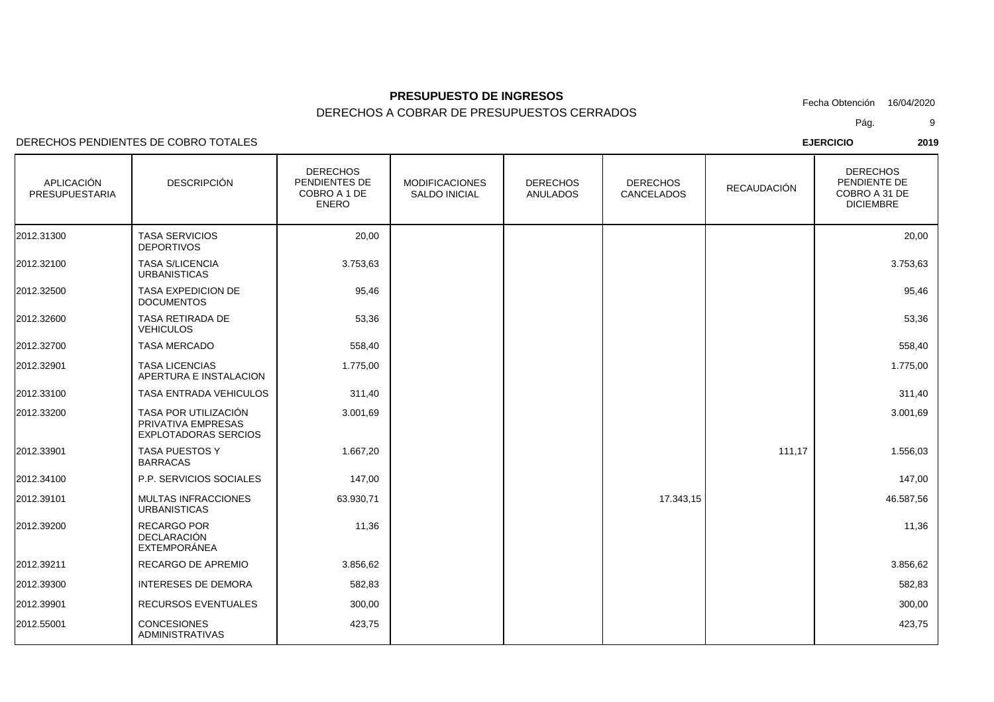DERECHOS A COBRAR DE PRESUPUESTOS CERRADOS

### DERECHOS PENDIENTES DE COBRO TOTALES

| APLICACIÓN<br><b>PRESUPUESTARIA</b> | <b>DESCRIPCIÓN</b>                                                        | <b>DERECHOS</b><br>PENDIENTES DE<br>COBRO A 1 DE<br><b>ENERO</b> | <b>MODIFICACIONES</b><br><b>SALDO INICIAL</b> | <b>DERECHOS</b><br><b>ANULADOS</b> | <b>DERECHOS</b><br>CANCELADOS | <b>RECAUDACIÓN</b> | <b>DERECHOS</b><br>PENDIENTE DE<br>COBRO A 31 DE<br><b>DICIEMBRE</b> |
|-------------------------------------|---------------------------------------------------------------------------|------------------------------------------------------------------|-----------------------------------------------|------------------------------------|-------------------------------|--------------------|----------------------------------------------------------------------|
| 2012.31300                          | <b>TASA SERVICIOS</b><br><b>DEPORTIVOS</b>                                | 20,00                                                            |                                               |                                    |                               |                    | 20,00                                                                |
| 2012.32100                          | <b>TASA S/LICENCIA</b><br><b>URBANISTICAS</b>                             | 3.753,63                                                         |                                               |                                    |                               |                    | 3.753,63                                                             |
| 2012.32500                          | TASA EXPEDICION DE<br><b>DOCUMENTOS</b>                                   | 95,46                                                            |                                               |                                    |                               |                    | 95,46                                                                |
| 2012.32600                          | <b>TASA RETIRADA DE</b><br><b>VEHICULOS</b>                               | 53,36                                                            |                                               |                                    |                               |                    | 53,36                                                                |
| 2012.32700                          | <b>TASA MERCADO</b>                                                       | 558,40                                                           |                                               |                                    |                               |                    | 558,40                                                               |
| 2012.32901                          | <b>TASA LICENCIAS</b><br>APERTURA E INSTALACION                           | 1.775,00                                                         |                                               |                                    |                               |                    | 1.775,00                                                             |
| 2012.33100                          | TASA ENTRADA VEHICULOS                                                    | 311,40                                                           |                                               |                                    |                               |                    | 311,40                                                               |
| 2012.33200                          | TASA POR UTILIZACIÓN<br>PRIVATIVA EMPRESAS<br><b>EXPLOTADORAS SERCIOS</b> | 3.001,69                                                         |                                               |                                    |                               |                    | 3.001,69                                                             |
| 2012.33901                          | <b>TASA PUESTOS Y</b><br><b>BARRACAS</b>                                  | 1.667,20                                                         |                                               |                                    |                               | 111,17             | 1.556,03                                                             |
| 2012.34100                          | P.P. SERVICIOS SOCIALES                                                   | 147,00                                                           |                                               |                                    |                               |                    | 147,00                                                               |
| 2012.39101                          | <b>MULTAS INFRACCIONES</b><br><b>URBANISTICAS</b>                         | 63.930,71                                                        |                                               |                                    | 17.343,15                     |                    | 46.587,56                                                            |
| 2012.39200                          | <b>RECARGO POR</b><br><b>DECLARACIÓN</b><br>EXTEMPORÁNEA                  | 11,36                                                            |                                               |                                    |                               |                    | 11,36                                                                |
| 2012.39211                          | RECARGO DE APREMIO                                                        | 3.856,62                                                         |                                               |                                    |                               |                    | 3.856,62                                                             |
| 2012.39300                          | <b>INTERESES DE DEMORA</b>                                                | 582,83                                                           |                                               |                                    |                               |                    | 582,83                                                               |
| 2012.39901                          | RECURSOS EVENTUALES                                                       | 300,00                                                           |                                               |                                    |                               |                    | 300,00                                                               |
| 2012.55001                          | <b>CONCESIONES</b><br><b>ADMINISTRATIVAS</b>                              | 423,75                                                           |                                               |                                    |                               |                    | 423,75                                                               |

Pág.Fecha Obtención 16/04/2020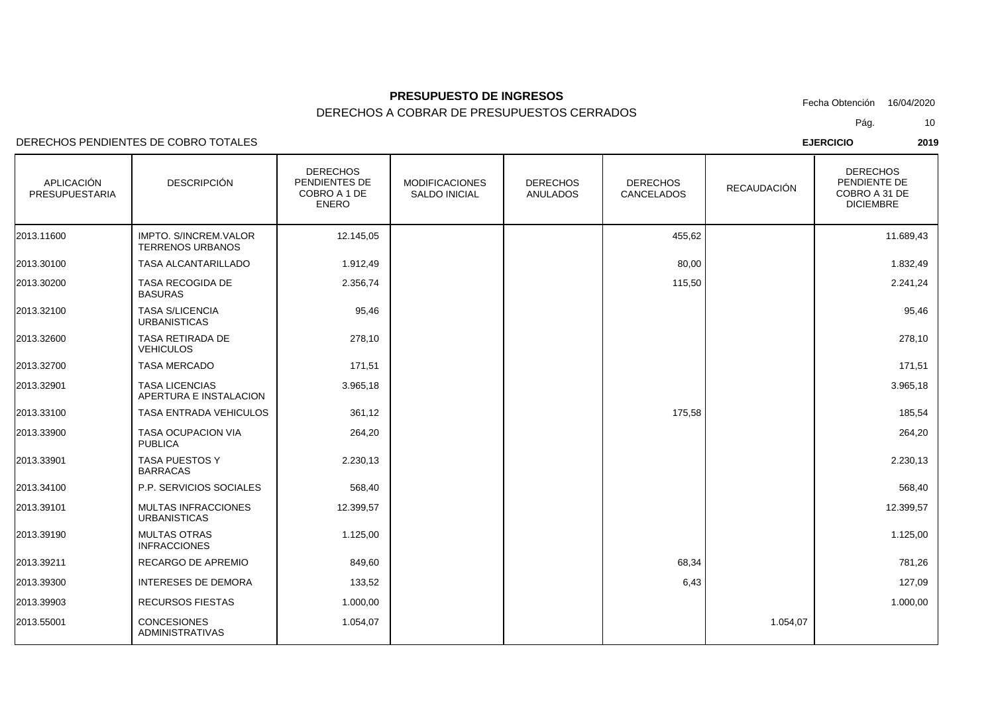DERECHOS A COBRAR DE PRESUPUESTOS CERRADOS

DERECHOS PENDIENTES DE COBRO TOTALES

| APLICACIÓN<br>PRESUPUESTARIA | <b>DESCRIPCIÓN</b>                                      | <b>DERECHOS</b><br>PENDIENTES DE<br>COBRO A 1 DE<br><b>ENERO</b> | <b>MODIFICACIONES</b><br><b>SALDO INICIAL</b> | <b>DERECHOS</b><br><b>ANULADOS</b> | <b>DERECHOS</b><br>CANCELADOS | <b>RECAUDACIÓN</b> | <b>DERECHOS</b><br>PENDIENTE DE<br>COBRO A 31 DE<br><b>DICIEMBRE</b> |
|------------------------------|---------------------------------------------------------|------------------------------------------------------------------|-----------------------------------------------|------------------------------------|-------------------------------|--------------------|----------------------------------------------------------------------|
| 2013.11600                   | <b>IMPTO, S/INCREM.VALOR</b><br><b>TERRENOS URBANOS</b> | 12.145,05                                                        |                                               |                                    | 455,62                        |                    | 11.689,43                                                            |
| 2013.30100                   | TASA ALCANTARILLADO                                     | 1.912,49                                                         |                                               |                                    | 80,00                         |                    | 1.832,49                                                             |
| 2013.30200                   | TASA RECOGIDA DE<br><b>BASURAS</b>                      | 2.356,74                                                         |                                               |                                    | 115,50                        |                    | 2.241,24                                                             |
| 2013.32100                   | <b>TASA S/LICENCIA</b><br><b>URBANISTICAS</b>           | 95,46                                                            |                                               |                                    |                               |                    | 95,46                                                                |
| 2013.32600                   | TASA RETIRADA DE<br><b>VEHICULOS</b>                    | 278,10                                                           |                                               |                                    |                               |                    | 278,10                                                               |
| 2013.32700                   | <b>TASA MERCADO</b>                                     | 171,51                                                           |                                               |                                    |                               |                    | 171,51                                                               |
| 2013.32901                   | <b>TASA LICENCIAS</b><br>APERTURA E INSTALACION         | 3.965,18                                                         |                                               |                                    |                               |                    | 3.965,18                                                             |
| 2013.33100                   | <b>TASA ENTRADA VEHICULOS</b>                           | 361,12                                                           |                                               |                                    | 175,58                        |                    | 185,54                                                               |
| 2013.33900                   | <b>TASA OCUPACION VIA</b><br><b>PUBLICA</b>             | 264,20                                                           |                                               |                                    |                               |                    | 264,20                                                               |
| 2013.33901                   | TASA PUESTOS Y<br><b>BARRACAS</b>                       | 2.230,13                                                         |                                               |                                    |                               |                    | 2.230,13                                                             |
| 2013.34100                   | P.P. SERVICIOS SOCIALES                                 | 568,40                                                           |                                               |                                    |                               |                    | 568,40                                                               |
| 2013.39101                   | MULTAS INFRACCIONES<br><b>URBANISTICAS</b>              | 12.399,57                                                        |                                               |                                    |                               |                    | 12.399,57                                                            |
| 2013.39190                   | <b>MULTAS OTRAS</b><br><b>INFRACCIONES</b>              | 1.125,00                                                         |                                               |                                    |                               |                    | 1.125,00                                                             |
| 2013.39211                   | RECARGO DE APREMIO                                      | 849,60                                                           |                                               |                                    | 68,34                         |                    | 781,26                                                               |
| 2013.39300                   | <b>INTERESES DE DEMORA</b>                              | 133,52                                                           |                                               |                                    | 6,43                          |                    | 127,09                                                               |
| 2013.39903                   | <b>RECURSOS FIESTAS</b>                                 | 1.000,00                                                         |                                               |                                    |                               |                    | 1.000,00                                                             |
| 2013.55001                   | <b>CONCESIONES</b><br><b>ADMINISTRATIVAS</b>            | 1.054,07                                                         |                                               |                                    |                               | 1.054,07           |                                                                      |

Pág.Fecha Obtención 16/04/2020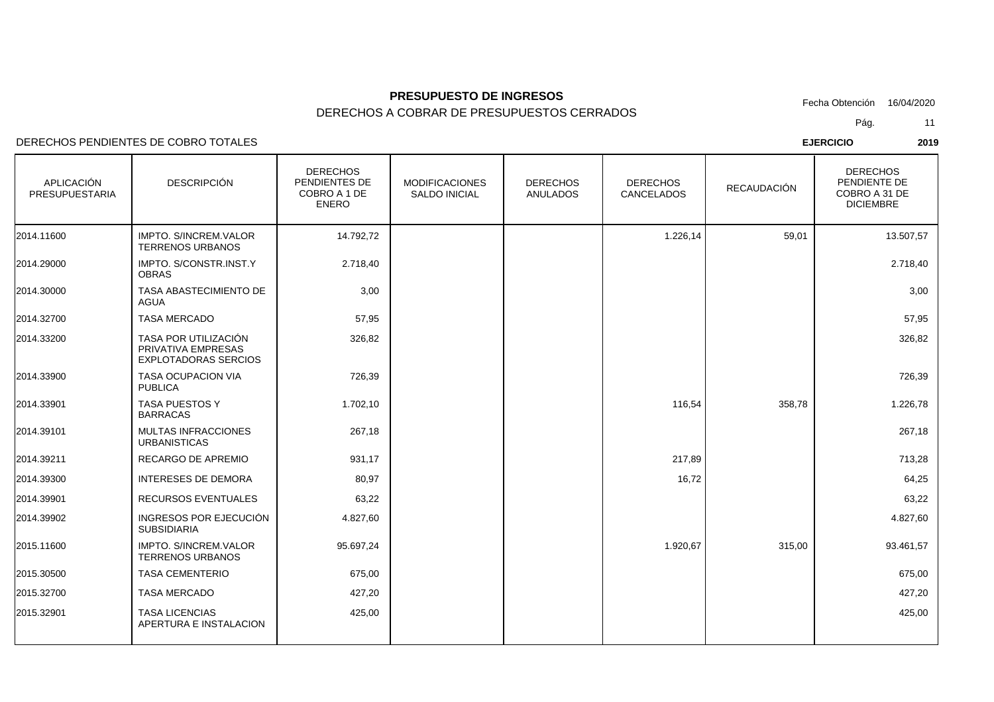DERECHOS A COBRAR DE PRESUPUESTOS CERRADOS

DERECHOS PENDIENTES DE COBRO TOTALES

| APLICACIÓN<br>PRESUPUESTARIA | <b>DESCRIPCIÓN</b>                                                        | <b>DERECHOS</b><br>PENDIENTES DE<br>COBRO A 1 DE<br><b>ENERO</b> | <b>MODIFICACIONES</b><br><b>SALDO INICIAL</b> | <b>DERECHOS</b><br><b>ANULADOS</b> | <b>DERECHOS</b><br>CANCELADOS | <b>RECAUDACIÓN</b> | <b>DERECHOS</b><br>PENDIENTE DE<br>COBRO A 31 DE<br><b>DICIEMBRE</b> |
|------------------------------|---------------------------------------------------------------------------|------------------------------------------------------------------|-----------------------------------------------|------------------------------------|-------------------------------|--------------------|----------------------------------------------------------------------|
| 2014.11600                   | <b>IMPTO, S/INCREM.VALOR</b><br><b>TERRENOS URBANOS</b>                   | 14.792,72                                                        |                                               |                                    | 1.226,14                      | 59,01              | 13.507,57                                                            |
| 2014.29000                   | IMPTO. S/CONSTR.INST.Y<br><b>OBRAS</b>                                    | 2.718,40                                                         |                                               |                                    |                               |                    | 2.718,40                                                             |
| 2014.30000                   | TASA ABASTECIMIENTO DE<br>AGUA                                            | 3,00                                                             |                                               |                                    |                               |                    | 3,00                                                                 |
| 2014.32700                   | <b>TASA MERCADO</b>                                                       | 57,95                                                            |                                               |                                    |                               |                    | 57,95                                                                |
| 2014.33200                   | TASA POR UTILIZACIÓN<br>PRIVATIVA EMPRESAS<br><b>EXPLOTADORAS SERCIOS</b> | 326,82                                                           |                                               |                                    |                               |                    | 326,82                                                               |
| 2014.33900                   | <b>TASA OCUPACION VIA</b><br><b>PUBLICA</b>                               | 726,39                                                           |                                               |                                    |                               |                    | 726,39                                                               |
| 2014.33901                   | TASA PUESTOS Y<br><b>BARRACAS</b>                                         | 1.702,10                                                         |                                               |                                    | 116,54                        | 358,78             | 1.226,78                                                             |
| 2014.39101                   | <b>MULTAS INFRACCIONES</b><br><b>URBANISTICAS</b>                         | 267,18                                                           |                                               |                                    |                               |                    | 267,18                                                               |
| 2014.39211                   | RECARGO DE APREMIO                                                        | 931,17                                                           |                                               |                                    | 217,89                        |                    | 713,28                                                               |
| 2014.39300                   | <b>INTERESES DE DEMORA</b>                                                | 80,97                                                            |                                               |                                    | 16,72                         |                    | 64,25                                                                |
| 2014.39901                   | RECURSOS EVENTUALES                                                       | 63,22                                                            |                                               |                                    |                               |                    | 63,22                                                                |
| 2014.39902                   | INGRESOS POR EJECUCIÓN<br><b>SUBSIDIARIA</b>                              | 4.827,60                                                         |                                               |                                    |                               |                    | 4.827,60                                                             |
| 2015.11600                   | IMPTO. S/INCREM.VALOR<br><b>TERRENOS URBANOS</b>                          | 95.697,24                                                        |                                               |                                    | 1.920,67                      | 315,00             | 93.461,57                                                            |
| 2015.30500                   | <b>TASA CEMENTERIO</b>                                                    | 675,00                                                           |                                               |                                    |                               |                    | 675,00                                                               |
| 2015.32700                   | <b>TASA MERCADO</b>                                                       | 427,20                                                           |                                               |                                    |                               |                    | 427,20                                                               |
| 2015.32901                   | <b>TASA LICENCIAS</b><br>APERTURA E INSTALACION                           | 425,00                                                           |                                               |                                    |                               |                    | 425,00                                                               |
|                              |                                                                           |                                                                  |                                               |                                    |                               |                    |                                                                      |

Pág.11

Fecha Obtención 16/04/2020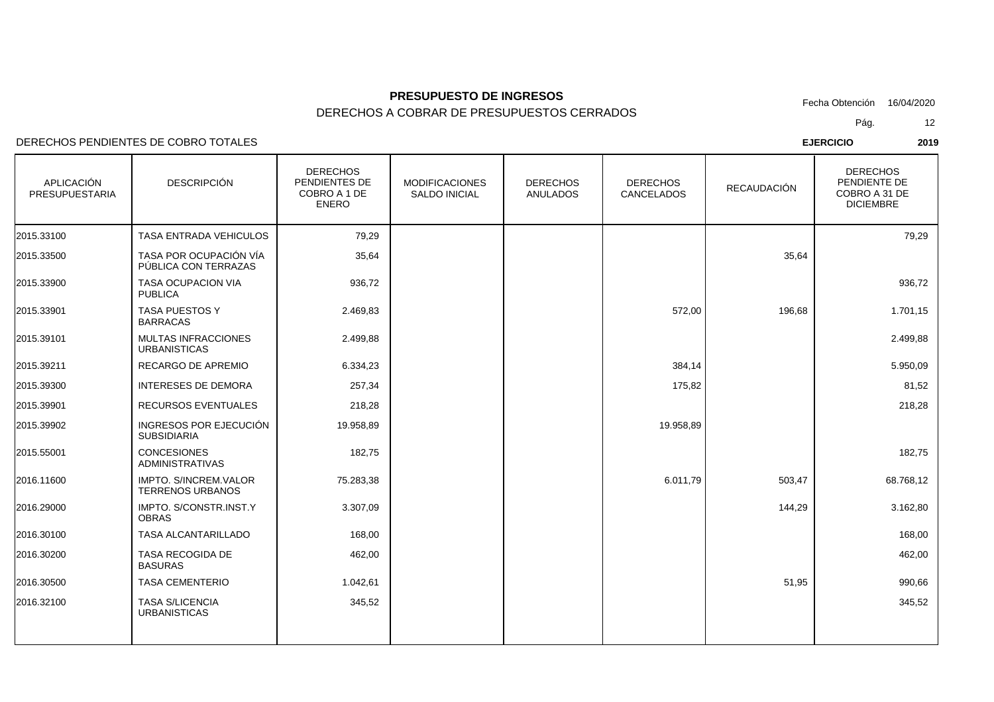DERECHOS A COBRAR DE PRESUPUESTOS CERRADOS

DERECHOS PENDIENTES DE COBRO TOTALES

| APLICACIÓN<br>PRESUPUESTARIA | <b>DESCRIPCIÓN</b>                                      | <b>DERECHOS</b><br>PENDIENTES DE<br>COBRO A 1 DE<br><b>ENERO</b> | <b>MODIFICACIONES</b><br><b>SALDO INICIAL</b> | <b>DERECHOS</b><br><b>ANULADOS</b> | <b>DERECHOS</b><br>CANCELADOS | <b>RECAUDACIÓN</b> | <b>DERECHOS</b><br>PENDIENTE DE<br>COBRO A 31 DE<br><b>DICIEMBRE</b> |
|------------------------------|---------------------------------------------------------|------------------------------------------------------------------|-----------------------------------------------|------------------------------------|-------------------------------|--------------------|----------------------------------------------------------------------|
| 2015.33100                   | TASA ENTRADA VEHICULOS                                  | 79,29                                                            |                                               |                                    |                               |                    | 79,29                                                                |
| 2015.33500                   | TASA POR OCUPACIÓN VÍA<br>PÚBLICA CON TERRAZAS          | 35,64                                                            |                                               |                                    |                               | 35,64              |                                                                      |
| 2015.33900                   | TASA OCUPACION VIA<br><b>PUBLICA</b>                    | 936,72                                                           |                                               |                                    |                               |                    | 936,72                                                               |
| 2015.33901                   | TASA PUESTOS Y<br><b>BARRACAS</b>                       | 2.469,83                                                         |                                               |                                    | 572,00                        | 196,68             | 1.701,15                                                             |
| 2015.39101                   | <b>MULTAS INFRACCIONES</b><br><b>URBANISTICAS</b>       | 2.499,88                                                         |                                               |                                    |                               |                    | 2.499,88                                                             |
| 2015.39211                   | RECARGO DE APREMIO                                      | 6.334,23                                                         |                                               |                                    | 384,14                        |                    | 5.950,09                                                             |
| 2015.39300                   | <b>INTERESES DE DEMORA</b>                              | 257,34                                                           |                                               |                                    | 175,82                        |                    | 81,52                                                                |
| 2015.39901                   | <b>RECURSOS EVENTUALES</b>                              | 218,28                                                           |                                               |                                    |                               |                    | 218,28                                                               |
| 2015.39902                   | INGRESOS POR EJECUCIÓN<br><b>SUBSIDIARIA</b>            | 19.958,89                                                        |                                               |                                    | 19.958,89                     |                    |                                                                      |
| 2015.55001                   | <b>CONCESIONES</b><br><b>ADMINISTRATIVAS</b>            | 182,75                                                           |                                               |                                    |                               |                    | 182,75                                                               |
| 2016.11600                   | <b>IMPTO. S/INCREM.VALOR</b><br><b>TERRENOS URBANOS</b> | 75.283,38                                                        |                                               |                                    | 6.011,79                      | 503,47             | 68.768,12                                                            |
| 2016.29000                   | IMPTO. S/CONSTR.INST.Y<br><b>OBRAS</b>                  | 3.307,09                                                         |                                               |                                    |                               | 144,29             | 3.162,80                                                             |
| 2016.30100                   | <b>TASA ALCANTARILLADO</b>                              | 168,00                                                           |                                               |                                    |                               |                    | 168,00                                                               |
| 2016.30200                   | <b>TASA RECOGIDA DE</b><br><b>BASURAS</b>               | 462,00                                                           |                                               |                                    |                               |                    | 462,00                                                               |
| 2016.30500                   | <b>TASA CEMENTERIO</b>                                  | 1.042,61                                                         |                                               |                                    |                               | 51,95              | 990,66                                                               |
| 2016.32100                   | <b>TASA S/LICENCIA</b><br><b>URBANISTICAS</b>           | 345,52                                                           |                                               |                                    |                               |                    | 345,52                                                               |
|                              |                                                         |                                                                  |                                               |                                    |                               |                    |                                                                      |

Pág.Fecha Obtención 16/04/2020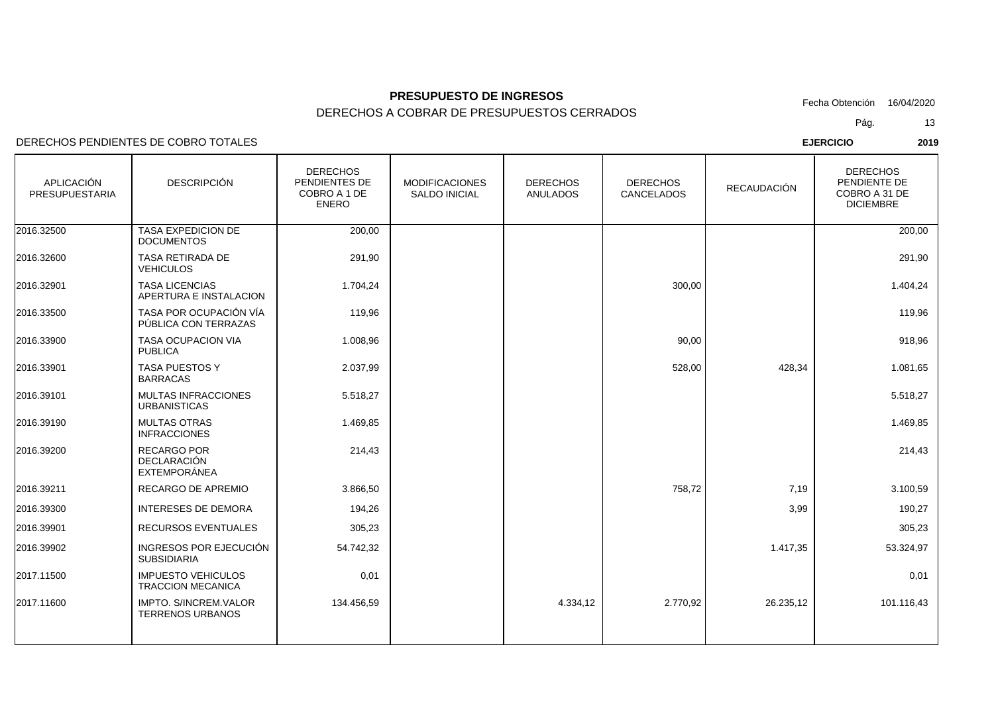DERECHOS A COBRAR DE PRESUPUESTOS CERRADOS

DERECHOS PENDIENTES DE COBRO TOTALES

| APLICACIÓN<br><b>PRESUPUESTARIA</b> | <b>DESCRIPCIÓN</b>                                       | <b>DERECHOS</b><br>PENDIENTES DE<br>COBRO A 1 DE<br><b>ENERO</b> | <b>MODIFICACIONES</b><br><b>SALDO INICIAL</b> | <b>DERECHOS</b><br><b>ANULADOS</b> | <b>DERECHOS</b><br>CANCELADOS | <b>RECAUDACIÓN</b> | <b>DERECHOS</b><br>PENDIENTE DE<br>COBRO A 31 DE<br><b>DICIEMBRE</b> |
|-------------------------------------|----------------------------------------------------------|------------------------------------------------------------------|-----------------------------------------------|------------------------------------|-------------------------------|--------------------|----------------------------------------------------------------------|
| 2016.32500                          | TASA EXPEDICION DE<br><b>DOCUMENTOS</b>                  | 200,00                                                           |                                               |                                    |                               |                    | 200,00                                                               |
| 2016.32600                          | TASA RETIRADA DE<br><b>VEHICULOS</b>                     | 291,90                                                           |                                               |                                    |                               |                    | 291,90                                                               |
| 2016.32901                          | <b>TASA LICENCIAS</b><br>APERTURA E INSTALACION          | 1.704,24                                                         |                                               |                                    | 300,00                        |                    | 1.404,24                                                             |
| 2016.33500                          | TASA POR OCUPACIÓN VÍA<br>PÚBLICA CON TERRAZAS           | 119,96                                                           |                                               |                                    |                               |                    | 119,96                                                               |
| 2016.33900                          | <b>TASA OCUPACION VIA</b><br><b>PUBLICA</b>              | 1.008,96                                                         |                                               |                                    | 90,00                         |                    | 918,96                                                               |
| 2016.33901                          | TASA PUESTOS Y<br><b>BARRACAS</b>                        | 2.037,99                                                         |                                               |                                    | 528,00                        | 428,34             | 1.081,65                                                             |
| 2016.39101                          | <b>MULTAS INFRACCIONES</b><br><b>URBANISTICAS</b>        | 5.518,27                                                         |                                               |                                    |                               |                    | 5.518,27                                                             |
| 2016.39190                          | <b>MULTAS OTRAS</b><br><b>INFRACCIONES</b>               | 1.469,85                                                         |                                               |                                    |                               |                    | 1.469,85                                                             |
| 2016.39200                          | <b>RECARGO POR</b><br><b>DECLARACIÓN</b><br>EXTEMPORÁNEA | 214,43                                                           |                                               |                                    |                               |                    | 214,43                                                               |
| 2016.39211                          | RECARGO DE APREMIO                                       | 3.866,50                                                         |                                               |                                    | 758,72                        | 7,19               | 3.100,59                                                             |
| 2016.39300                          | <b>INTERESES DE DEMORA</b>                               | 194,26                                                           |                                               |                                    |                               | 3,99               | 190,27                                                               |
| 2016.39901                          | <b>RECURSOS EVENTUALES</b>                               | 305,23                                                           |                                               |                                    |                               |                    | 305,23                                                               |
| 2016.39902                          | INGRESOS POR EJECUCIÓN<br><b>SUBSIDIARIA</b>             | 54.742,32                                                        |                                               |                                    |                               | 1.417,35           | 53.324,97                                                            |
| 2017.11500                          | <b>IMPUESTO VEHICULOS</b><br><b>TRACCION MECANICA</b>    | 0,01                                                             |                                               |                                    |                               |                    | 0,01                                                                 |
| 2017.11600                          | IMPTO. S/INCREM.VALOR<br><b>TERRENOS URBANOS</b>         | 134.456,59                                                       |                                               | 4.334,12                           | 2.770,92                      | 26.235,12          | 101.116,43                                                           |
|                                     |                                                          |                                                                  |                                               |                                    |                               |                    |                                                                      |

Pág.Fecha Obtención 16/04/2020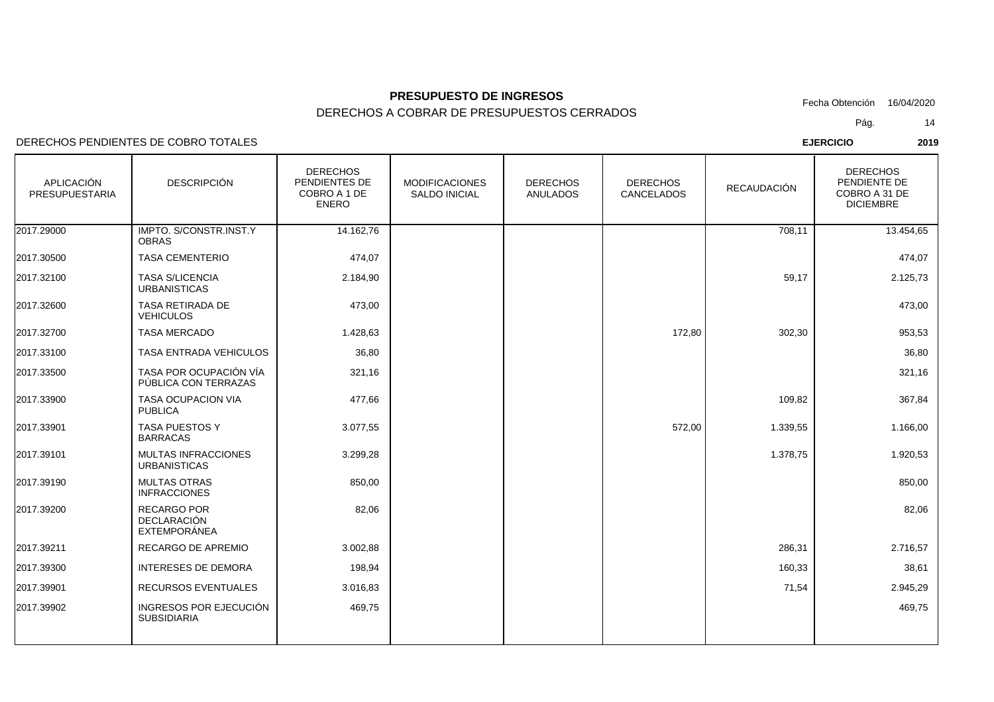DERECHOS A COBRAR DE PRESUPUESTOS CERRADOS

DERECHOS PENDIENTES DE COBRO TOTALES

| <b>APLICACIÓN</b><br><b>PRESUPUESTARIA</b> | <b>DESCRIPCIÓN</b>                                | <b>DERECHOS</b><br>PENDIENTES DE<br>COBRO A 1 DE<br><b>ENERO</b> | <b>MODIFICACIONES</b><br><b>SALDO INICIAL</b> | <b>DERECHOS</b><br><b>ANULADOS</b> | <b>DERECHOS</b><br>CANCELADOS | <b>RECAUDACIÓN</b> | <b>DERECHOS</b><br>PENDIENTE DE<br>COBRO A 31 DE<br><b>DICIEMBRE</b> |
|--------------------------------------------|---------------------------------------------------|------------------------------------------------------------------|-----------------------------------------------|------------------------------------|-------------------------------|--------------------|----------------------------------------------------------------------|
| 2017.29000                                 | IMPTO. S/CONSTR.INST.Y<br><b>OBRAS</b>            | 14.162,76                                                        |                                               |                                    |                               | 708,11             | 13.454,65                                                            |
| 2017.30500                                 | <b>TASA CEMENTERIO</b>                            | 474,07                                                           |                                               |                                    |                               |                    | 474,07                                                               |
| 2017.32100                                 | <b>TASA S/LICENCIA</b><br><b>URBANISTICAS</b>     | 2.184,90                                                         |                                               |                                    |                               | 59,17              | 2.125,73                                                             |
| 2017.32600                                 | TASA RETIRADA DE<br><b>VEHICULOS</b>              | 473,00                                                           |                                               |                                    |                               |                    | 473,00                                                               |
| 2017.32700                                 | <b>TASA MERCADO</b>                               | 1.428,63                                                         |                                               |                                    | 172,80                        | 302,30             | 953,53                                                               |
| 2017.33100                                 | TASA ENTRADA VEHICULOS                            | 36,80                                                            |                                               |                                    |                               |                    | 36,80                                                                |
| 2017.33500                                 | TASA POR OCUPACIÓN VÍA<br>PÚBLICA CON TERRAZAS    | 321,16                                                           |                                               |                                    |                               |                    | 321,16                                                               |
| 2017.33900                                 | <b>TASA OCUPACION VIA</b><br><b>PUBLICA</b>       | 477,66                                                           |                                               |                                    |                               | 109,82             | 367,84                                                               |
| 2017.33901                                 | <b>TASA PUESTOS Y</b><br><b>BARRACAS</b>          | 3.077,55                                                         |                                               |                                    | 572,00                        | 1.339,55           | 1.166,00                                                             |
| 2017.39101                                 | <b>MULTAS INFRACCIONES</b><br><b>URBANISTICAS</b> | 3.299,28                                                         |                                               |                                    |                               | 1.378,75           | 1.920,53                                                             |
| 2017.39190                                 | <b>MULTAS OTRAS</b><br><b>INFRACCIONES</b>        | 850,00                                                           |                                               |                                    |                               |                    | 850,00                                                               |
| 2017.39200                                 | RECARGO POR<br><b>DECLARACIÓN</b><br>EXTEMPORÁNEA | 82,06                                                            |                                               |                                    |                               |                    | 82,06                                                                |
| 2017.39211                                 | RECARGO DE APREMIO                                | 3.002,88                                                         |                                               |                                    |                               | 286,31             | 2.716,57                                                             |
| 2017.39300                                 | <b>INTERESES DE DEMORA</b>                        | 198,94                                                           |                                               |                                    |                               | 160,33             | 38,61                                                                |
| 2017.39901                                 | RECURSOS EVENTUALES                               | 3.016,83                                                         |                                               |                                    |                               | 71,54              | 2.945,29                                                             |
| 2017.39902                                 | INGRESOS POR EJECUCIÓN<br><b>SUBSIDIARIA</b>      | 469,75                                                           |                                               |                                    |                               |                    | 469,75                                                               |
|                                            |                                                   |                                                                  |                                               |                                    |                               |                    |                                                                      |

Pág.Fecha Obtención 16/04/2020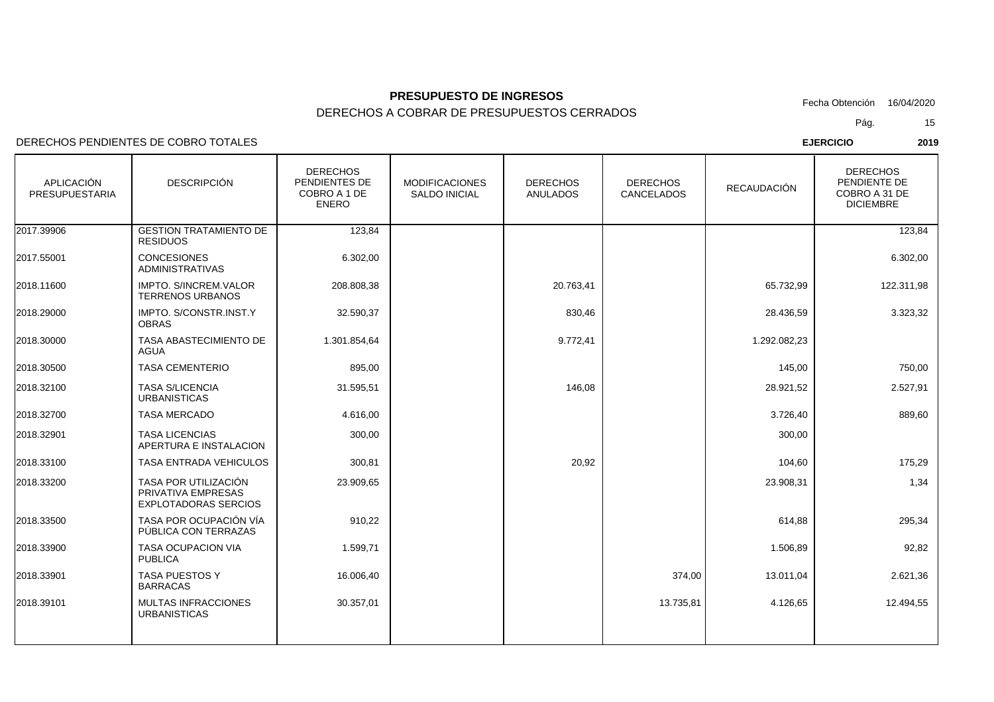DERECHOS PENDIENTES DE COBRO TOTALES

| <b>APLICACIÓN</b><br><b>PRESUPUESTARIA</b> | <b>DESCRIPCIÓN</b>                                                        | <b>DERECHOS</b><br>PENDIENTES DE<br>COBRO A 1 DE<br><b>ENERO</b> | <b>MODIFICACIONES</b><br><b>SALDO INICIAL</b> | <b>DERECHOS</b><br><b>ANULADOS</b> | <b>DERECHOS</b><br><b>CANCELADOS</b> | <b>RECAUDACIÓN</b> | <b>DERECHOS</b><br>PENDIENTE DE<br>COBRO A 31 DE<br><b>DICIEMBRE</b> |
|--------------------------------------------|---------------------------------------------------------------------------|------------------------------------------------------------------|-----------------------------------------------|------------------------------------|--------------------------------------|--------------------|----------------------------------------------------------------------|
| 2017.39906                                 | <b>GESTION TRATAMIENTO DE</b><br><b>RESIDUOS</b>                          | 123,84                                                           |                                               |                                    |                                      |                    | 123,84                                                               |
| 2017.55001                                 | <b>CONCESIONES</b><br><b>ADMINISTRATIVAS</b>                              | 6.302,00                                                         |                                               |                                    |                                      |                    | 6.302,00                                                             |
| 2018.11600                                 | <b>IMPTO. S/INCREM.VALOR</b><br><b>TERRENOS URBANOS</b>                   | 208.808,38                                                       |                                               | 20.763,41                          |                                      | 65.732,99          | 122.311,98                                                           |
| 2018.29000                                 | IMPTO. S/CONSTR.INST.Y<br><b>OBRAS</b>                                    | 32.590,37                                                        |                                               | 830,46                             |                                      | 28.436,59          | 3.323,32                                                             |
| 2018.30000                                 | TASA ABASTECIMIENTO DE<br><b>AGUA</b>                                     | 1.301.854,64                                                     |                                               | 9.772,41                           |                                      | 1.292.082,23       |                                                                      |
| 2018.30500                                 | <b>TASA CEMENTERIO</b>                                                    | 895,00                                                           |                                               |                                    |                                      | 145,00             | 750,00                                                               |
| 2018.32100                                 | <b>TASA S/LICENCIA</b><br><b>URBANISTICAS</b>                             | 31.595,51                                                        |                                               | 146,08                             |                                      | 28.921,52          | 2.527,91                                                             |
| 2018.32700                                 | <b>TASA MERCADO</b>                                                       | 4.616,00                                                         |                                               |                                    |                                      | 3.726,40           | 889,60                                                               |
| 2018.32901                                 | <b>TASA LICENCIAS</b><br>APERTURA E INSTALACION                           | 300,00                                                           |                                               |                                    |                                      | 300,00             |                                                                      |
| 2018.33100                                 | <b>TASA ENTRADA VEHICULOS</b>                                             | 300,81                                                           |                                               | 20,92                              |                                      | 104,60             | 175,29                                                               |
| 2018.33200                                 | TASA POR UTILIZACIÓN<br>PRIVATIVA EMPRESAS<br><b>EXPLOTADORAS SERCIOS</b> | 23.909,65                                                        |                                               |                                    |                                      | 23.908,31          | 1,34                                                                 |
| 2018.33500                                 | TASA POR OCUPACIÓN VÍA<br>PÚBLICA CON TERRAZAS                            | 910,22                                                           |                                               |                                    |                                      | 614,88             | 295,34                                                               |
| 2018.33900                                 | TASA OCUPACION VIA<br><b>PUBLICA</b>                                      | 1.599,71                                                         |                                               |                                    |                                      | 1.506,89           | 92,82                                                                |
| 2018.33901                                 | TASA PUESTOS Y<br><b>BARRACAS</b>                                         | 16.006,40                                                        |                                               |                                    | 374,00                               | 13.011,04          | 2.621,36                                                             |
| 2018.39101                                 | <b>MULTAS INFRACCIONES</b><br><b>URBANISTICAS</b>                         | 30.357,01                                                        |                                               |                                    | 13.735,81                            | 4.126,65           | 12.494,55                                                            |
|                                            |                                                                           |                                                                  |                                               |                                    |                                      |                    |                                                                      |

Pág.Fecha Obtención 16/04/2020

15